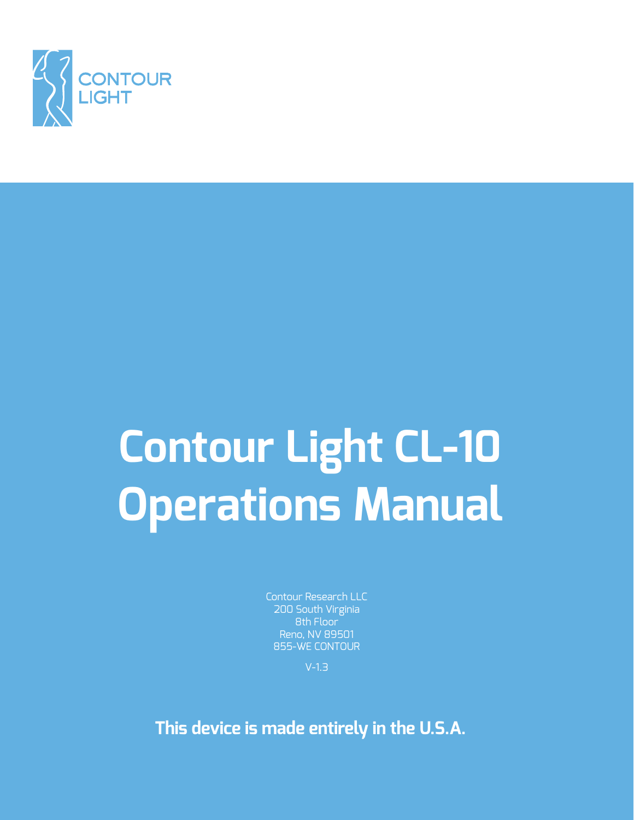

# **Contour Light CL-10 Operations Manual**

Contour Research LLC 200 South Virginia 8th Floor Reno, NV 89501 855-WE CONTOUR

V-1.3

**This device is made entirely in the U.S.A.**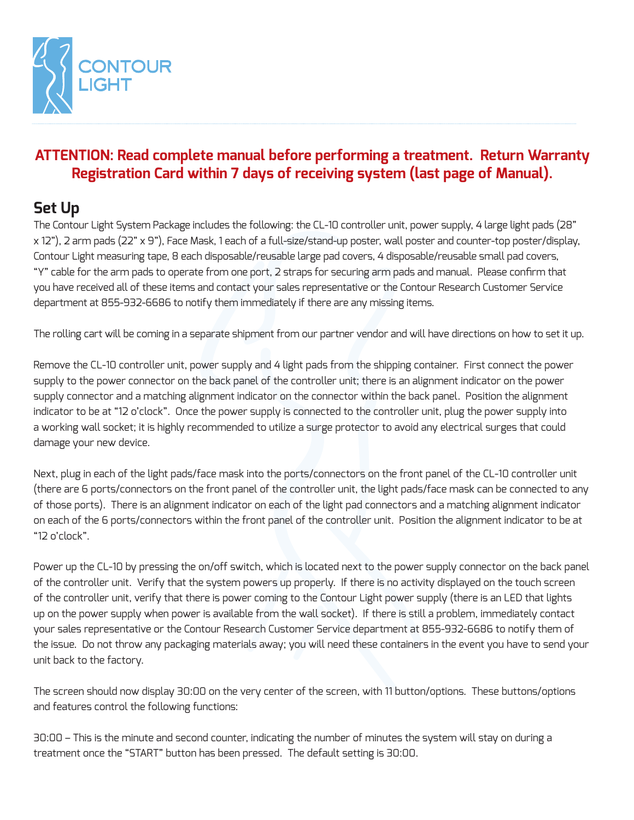

#### **ATTENTION: Read complete manual before performing a treatment. Return Warranty Registration Card within 7 days of receiving system (last page of Manual).**

# **Set Up**

The Contour Light System Package includes the following: the CL-10 controller unit, power supply, 4 large light pads (28" x 12"), 2 arm pads (22" x 9"), Face Mask, 1 each of a full-size/stand-up poster, wall poster and counter-top poster/display, Contour Light measuring tape, 8 each disposable/reusable large pad covers, 4 disposable/reusable small pad covers, "Y" cable for the arm pads to operate from one port, 2 straps for securing arm pads and manual. Please confirm that you have received all of these items and contact your sales representative or the Contour Research Customer Service department at 855-932-6686 to notify them immediately if there are any missing items.

The rolling cart will be coming in a separate shipment from our partner vendor and will have directions on how to set it up.

Remove the CL-10 controller unit, power supply and 4 light pads from the shipping container. First connect the power supply to the power connector on the back panel of the controller unit; there is an alignment indicator on the power supply connector and a matching alignment indicator on the connector within the back panel. Position the alignment indicator to be at "12 o'clock". Once the power supply is connected to the controller unit, plug the power supply into a working wall socket; it is highly recommended to utilize a surge protector to avoid any electrical surges that could damage your new device.

Next, plug in each of the light pads/face mask into the ports/connectors on the front panel of the CL-10 controller unit (there are 6 ports/connectors on the front panel of the controller unit, the light pads/face mask can be connected to any of those ports). There is an alignment indicator on each of the light pad connectors and a matching alignment indicator on each of the 6 ports/connectors within the front panel of the controller unit. Position the alignment indicator to be at "12 o'clock".

Power up the CL-10 by pressing the on/off switch, which is located next to the power supply connector on the back panel of the controller unit. Verify that the system powers up properly. If there is no activity displayed on the touch screen of the controller unit, verify that there is power coming to the Contour Light power supply (there is an LED that lights up on the power supply when power is available from the wall socket). If there is still a problem, immediately contact your sales representative or the Contour Research Customer Service department at 855-932-6686 to notify them of the issue. Do not throw any packaging materials away; you will need these containers in the event you have to send your unit back to the factory.

The screen should now display 30:00 on the very center of the screen, with 11 button/options. These buttons/options and features control the following functions:

30:00 – This is the minute and second counter, indicating the number of minutes the system will stay on during a treatment once the "START" button has been pressed. The default setting is 30:00.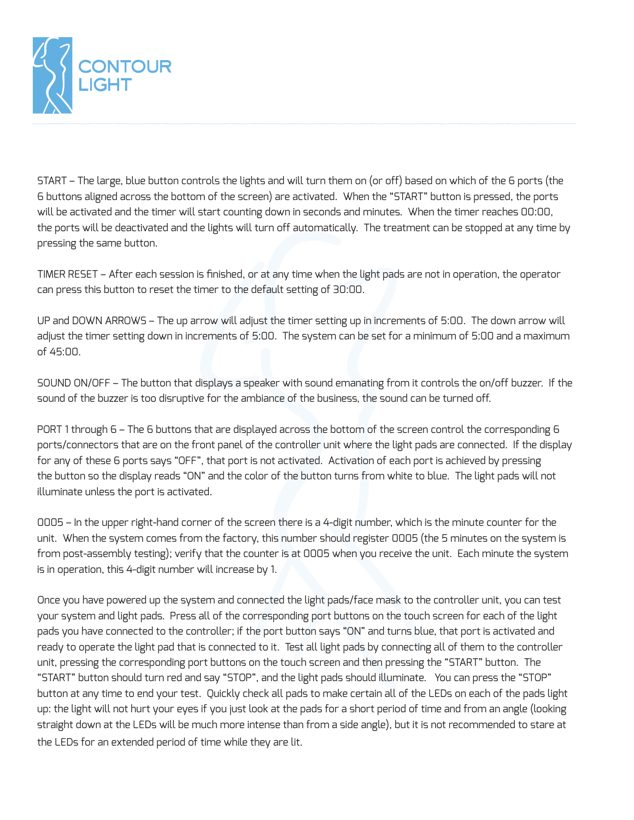

START – The large, blue button controls the lights and will turn them on (or off) based on which of the 6 ports (the 6 buttons aligned across the bottom of the screen) are activated. When the "START" button is pressed, the ports will be activated and the timer will start counting down in seconds and minutes. When the timer reaches 00:00, the ports will be deactivated and the lights will turn off automatically. The treatment can be stopped at any time by pressing the same button.

TIMER RESET – After each session is finished, or at any time when the light pads are not in operation, the operator can press this button to reset the timer to the default setting of 30:00.

UP and DOWN ARROWS – The up arrow will adjust the timer setting up in increments of 5:00. The down arrow will adjust the timer setting down in increments of 5:00. The system can be set for a minimum of 5:00 and a maximum of 45:00.

SOUND ON/OFF – The button that displays a speaker with sound emanating from it controls the on/off buzzer. If the sound of the buzzer is too disruptive for the ambiance of the business, the sound can be turned off.

PORT 1 through 6 – The 6 buttons that are displayed across the bottom of the screen control the corresponding 6 ports/connectors that are on the front panel of the controller unit where the light pads are connected. If the display for any of these 6 ports says "OFF", that port is not activated. Activation of each port is achieved by pressing the button so the display reads "ON" and the color of the button turns from white to blue. The light pads will not illuminate unless the port is activated.

0005 – In the upper right-hand corner of the screen there is a 4-digit number, which is the minute counter for the unit. When the system comes from the factory, this number should register 0005 (the 5 minutes on the system is from post-assembly testing); verify that the counter is at 0005 when you receive the unit. Each minute the system is in operation, this 4-digit number will increase by 1.

Once you have powered up the system and connected the light pads/face mask to the controller unit, you can test your system and light pads. Press all of the corresponding port buttons on the touch screen for each of the light pads you have connected to the controller; if the port button says "ON" and turns blue, that port is activated and ready to operate the light pad that is connected to it. Test all light pads by connecting all of them to the controller unit, pressing the corresponding port buttons on the touch screen and then pressing the "START" button. The "START" button should turn red and say "STOP", and the light pads should illuminate. You can press the "STOP" button at any time to end your test. Quickly check all pads to make certain all of the LEDs on each of the pads light up: the light will not hurt your eyes if you just look at the pads for a short period of time and from an angle (looking straight down at the LEDs will be much more intense than from a side angle), but it is not recommended to stare at the LEDs for an extended period of time while they are lit.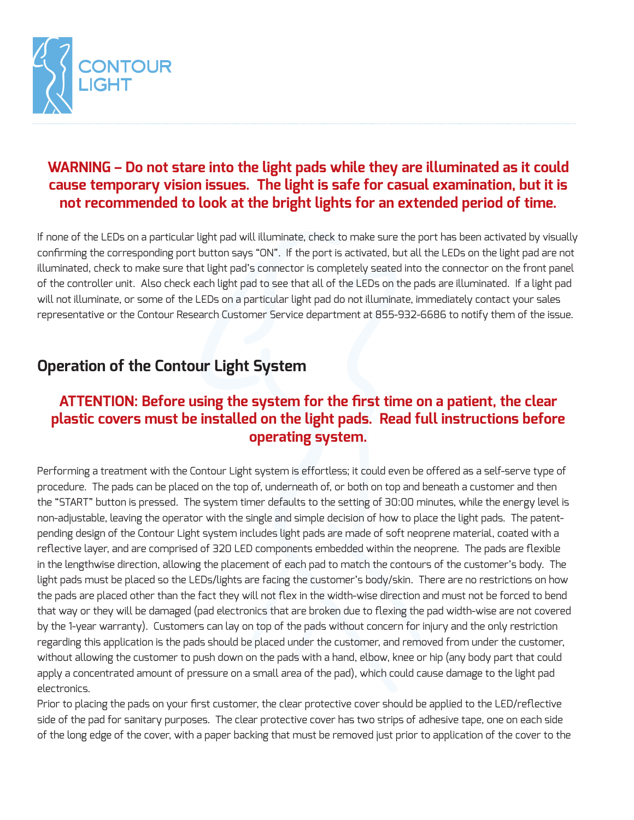

### **WARNING – Do not stare into the light pads while they are illuminated as it could cause temporary vision issues. The light is safe for casual examination, but it is not recommended to look at the bright lights for an extended period of time.**

If none of the LEDs on a particular light pad will illuminate, check to make sure the port has been activated by visually confirming the corresponding port button says "ON". If the port is activated, but all the LEDs on the light pad are not illuminated, check to make sure that light pad's connector is completely seated into the connector on the front panel of the controller unit. Also check each light pad to see that all of the LEDs on the pads are illuminated. If a light pad will not illuminate, or some of the LEDs on a particular light pad do not illuminate, immediately contact your sales representative or the Contour Research Customer Service department at 855-932-6686 to notify them of the issue.

# **Operation of the Contour Light System**

#### **ATTENTION: Before using the system for the first time on a patient, the clear plastic covers must be installed on the light pads. Read full instructions before operating system.**

Performing a treatment with the Contour Light system is effortless; it could even be offered as a self-serve type of procedure. The pads can be placed on the top of, underneath of, or both on top and beneath a customer and then the "START" button is pressed. The system timer defaults to the setting of 30:00 minutes, while the energy level is non-adjustable, leaving the operator with the single and simple decision of how to place the light pads. The patentpending design of the Contour Light system includes light pads are made of soft neoprene material, coated with a reflective layer, and are comprised of 320 LED components embedded within the neoprene. The pads are flexible in the lengthwise direction, allowing the placement of each pad to match the contours of the customer's body. The light pads must be placed so the LEDs/lights are facing the customer's body/skin. There are no restrictions on how the pads are placed other than the fact they will not flex in the width-wise direction and must not be forced to bend that way or they will be damaged (pad electronics that are broken due to flexing the pad width-wise are not covered by the 1-year warranty). Customers can lay on top of the pads without concern for injury and the only restriction regarding this application is the pads should be placed under the customer, and removed from under the customer, without allowing the customer to push down on the pads with a hand, elbow, knee or hip (any body part that could apply a concentrated amount of pressure on a small area of the pad), which could cause damage to the light pad electronics.

Prior to placing the pads on your first customer, the clear protective cover should be applied to the LED/reflective side of the pad for sanitary purposes. The clear protective cover has two strips of adhesive tape, one on each side of the long edge of the cover, with a paper backing that must be removed just prior to application of the cover to the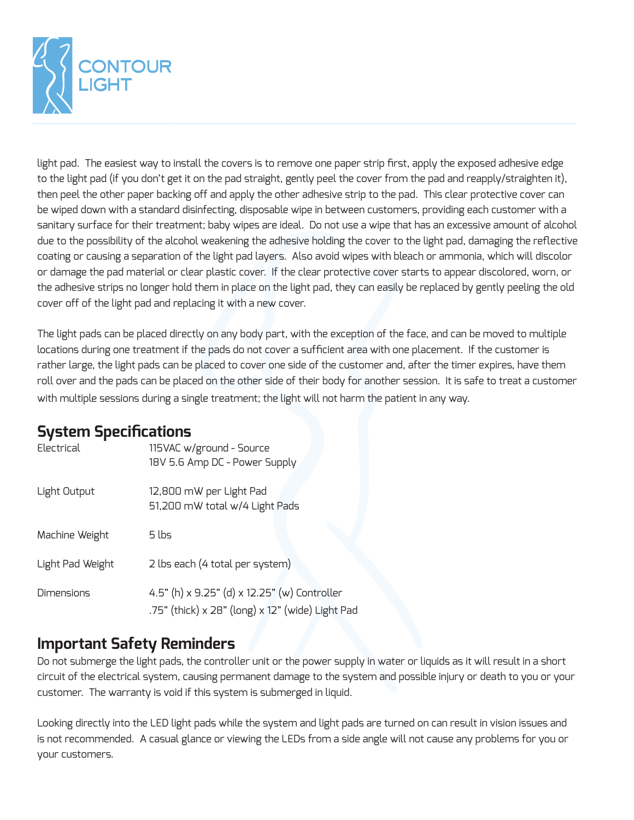

light pad. The easiest way to install the covers is to remove one paper strip first, apply the exposed adhesive edge to the light pad (if you don't get it on the pad straight, gently peel the cover from the pad and reapply/straighten it), then peel the other paper backing off and apply the other adhesive strip to the pad. This clear protective cover can be wiped down with a standard disinfecting, disposable wipe in between customers, providing each customer with a sanitary surface for their treatment; baby wipes are ideal. Do not use a wipe that has an excessive amount of alcohol due to the possibility of the alcohol weakening the adhesive holding the cover to the light pad, damaging the reflective coating or causing a separation of the light pad layers. Also avoid wipes with bleach or ammonia, which will discolor or damage the pad material or clear plastic cover. If the clear protective cover starts to appear discolored, worn, or the adhesive strips no longer hold them in place on the light pad, they can easily be replaced by gently peeling the old cover off of the light pad and replacing it with a new cover.

The light pads can be placed directly on any body part, with the exception of the face, and can be moved to multiple locations during one treatment if the pads do not cover a sufficient area with one placement. If the customer is rather large, the light pads can be placed to cover one side of the customer and, after the timer expires, have them roll over and the pads can be placed on the other side of their body for another session. It is safe to treat a customer with multiple sessions during a single treatment; the light will not harm the patient in any way.

# **System Specifications**

| Electrical        | 115VAC w/ground - Source<br>18V 5.6 Amp DC - Power Supply                                        |  |
|-------------------|--------------------------------------------------------------------------------------------------|--|
| Light Output      | 12,800 mW per Light Pad<br>51,200 mW total w/4 Light Pads                                        |  |
| Machine Weight    | 5 lbs                                                                                            |  |
| Light Pad Weight  | 2 lbs each (4 total per system)                                                                  |  |
| <b>Dimensions</b> | 4.5" (h) x 9.25" (d) x 12.25" (w) Controller<br>.75" (thick) x 28" (long) x 12" (wide) Light Pad |  |

#### **Important Safety Reminders**

Do not submerge the light pads, the controller unit or the power supply in water or liquids as it will result in a short circuit of the electrical system, causing permanent damage to the system and possible injury or death to you or your customer. The warranty is void if this system is submerged in liquid.

Looking directly into the LED light pads while the system and light pads are turned on can result in vision issues and is not recommended. A casual glance or viewing the LEDs from a side angle will not cause any problems for you or your customers.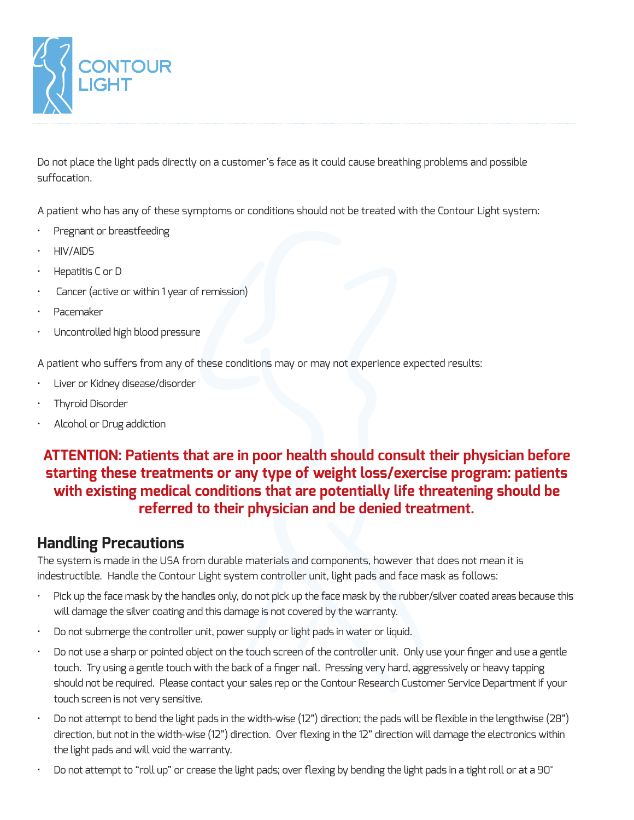

Do not place the light pads directly on a customer's face as it could cause breathing problems and possible suffocation.

A patient who has any of these symptoms or conditions should not be treated with the Contour Light system:

- Pregnant or breastfeeding
- HIV/AIDS
- Hepatitis C or D
- Cancer (active or within 1 year of remission)
- Pacemaker
- Uncontrolled high blood pressure

A patient who suffers from any of these conditions may or may not experience expected results:

- Liver or Kidney disease/disorder
- Thyroid Disorder
- Alcohol or Drug addiction

#### **ATTENTION: Patients that are in poor health should consult their physician before starting these treatments or any type of weight loss/exercise program: patients with existing medical conditions that are potentially life threatening should be referred to their physician and be denied treatment.**

#### **Handling Precautions**

The system is made in the USA from durable materials and components, however that does not mean it is indestructible. Handle the Contour Light system controller unit, light pads and face mask as follows:

- Pick up the face mask by the handles only, do not pick up the face mask by the rubber/silver coated areas because this will damage the silver coating and this damage is not covered by the warranty.
- Do not submerge the controller unit, power supply or light pads in water or liquid.
- Do not use a sharp or pointed object on the touch screen of the controller unit. Only use your finger and use a gentle touch. Try using a gentle touch with the back of a finger nail. Pressing very hard, aggressively or heavy tapping should not be required. Please contact your sales rep or the Contour Research Customer Service Department if your touch screen is not very sensitive.
- Do not attempt to bend the light pads in the width-wise (12") direction; the pads will be flexible in the lengthwise (28") direction, but not in the width-wise (12") direction. Over flexing in the 12" direction will damage the electronics within the light pads and will void the warranty.
- Do not attempt to "roll up" or crease the light pads; over flexing by bending the light pads in a tight roll or at a 90°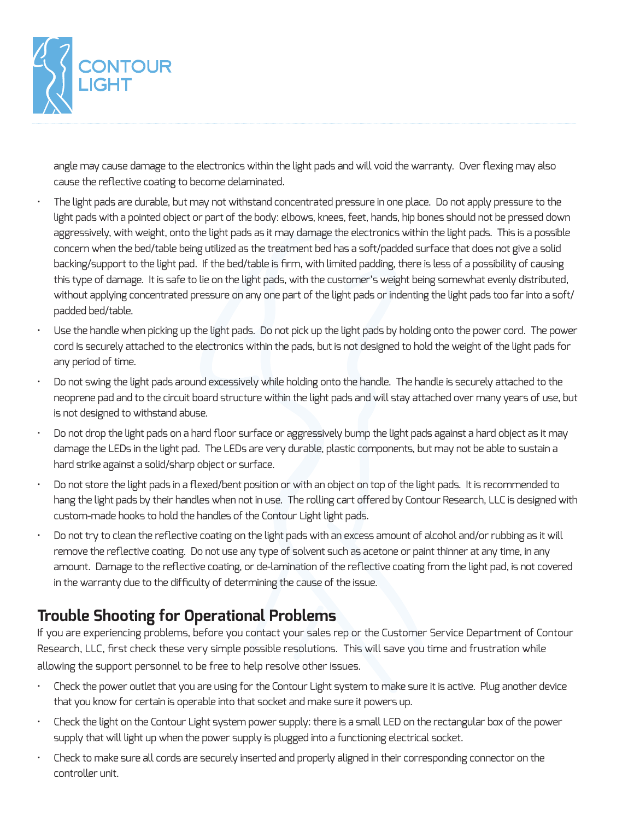

angle may cause damage to the electronics within the light pads and will void the warranty. Over flexing may also cause the reflective coating to become delaminated.

- The light pads are durable, but may not withstand concentrated pressure in one place. Do not apply pressure to the light pads with a pointed object or part of the body: elbows, knees, feet, hands, hip bones should not be pressed down aggressively, with weight, onto the light pads as it may damage the electronics within the light pads. This is a possible concern when the bed/table being utilized as the treatment bed has a soft/padded surface that does not give a solid backing/support to the light pad. If the bed/table is firm, with limited padding, there is less of a possibility of causing this type of damage. It is safe to lie on the light pads, with the customer's weight being somewhat evenly distributed, without applying concentrated pressure on any one part of the light pads or indenting the light pads too far into a soft/ padded bed/table.
- Use the handle when picking up the light pads. Do not pick up the light pads by holding onto the power cord. The power cord is securely attached to the electronics within the pads, but is not designed to hold the weight of the light pads for any period of time.
- Do not swing the light pads around excessively while holding onto the handle. The handle is securely attached to the neoprene pad and to the circuit board structure within the light pads and will stay attached over many years of use, but is not designed to withstand abuse.
- Do not drop the light pads on a hard floor surface or aggressively bump the light pads against a hard object as it may damage the LEDs in the light pad. The LEDs are very durable, plastic components, but may not be able to sustain a hard strike against a solid/sharp object or surface.
- Do not store the light pads in a flexed/bent position or with an object on top of the light pads. It is recommended to hang the light pads by their handles when not in use. The rolling cart offered by Contour Research, LLC is designed with custom-made hooks to hold the handles of the Contour Light light pads.
- Do not try to clean the reflective coating on the light pads with an excess amount of alcohol and/or rubbing as it will remove the reflective coating. Do not use any type of solvent such as acetone or paint thinner at any time, in any amount. Damage to the reflective coating, or de-lamination of the reflective coating from the light pad, is not covered in the warranty due to the difficulty of determining the cause of the issue.

# **Trouble Shooting for Operational Problems**

If you are experiencing problems, before you contact your sales rep or the Customer Service Department of Contour Research, LLC, first check these very simple possible resolutions. This will save you time and frustration while allowing the support personnel to be free to help resolve other issues.

- Check the power outlet that you are using for the Contour Light system to make sure it is active. Plug another device that you know for certain is operable into that socket and make sure it powers up.
- Check the light on the Contour Light system power supply: there is a small LED on the rectangular box of the power supply that will light up when the power supply is plugged into a functioning electrical socket.
- Check to make sure all cords are securely inserted and properly aligned in their corresponding connector on the controller unit.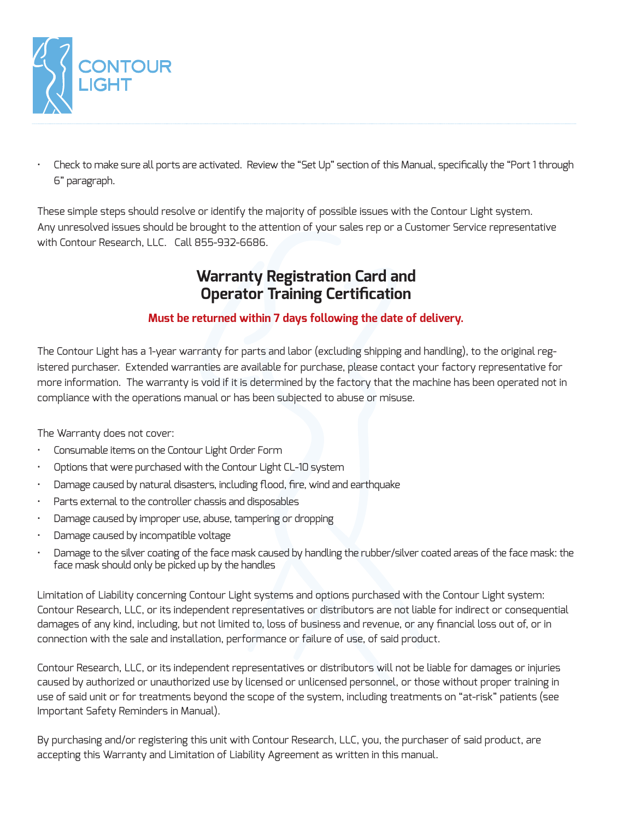

• Check to make sure all ports are activated. Review the "Set Up" section of this Manual, specifically the "Port 1 through 6" paragraph.

These simple steps should resolve or identify the majority of possible issues with the Contour Light system. Any unresolved issues should be brought to the attention of your sales rep or a Customer Service representative with Contour Research, LLC. Call 855-932-6686.

#### **Warranty Registration Card and Operator Training Certification**

#### **Must be returned within 7 days following the date of delivery.**

The Contour Light has a 1-year warranty for parts and labor (excluding shipping and handling), to the original registered purchaser. Extended warranties are available for purchase, please contact your factory representative for more information. The warranty is void if it is determined by the factory that the machine has been operated not in compliance with the operations manual or has been subjected to abuse or misuse.

The Warranty does not cover:

- Consumable items on the Contour Light Order Form
- Options that were purchased with the Contour Light CL-10 system
- Damage caused by natural disasters, including flood, fire, wind and earthquake
- Parts external to the controller chassis and disposables
- Damage caused by improper use, abuse, tampering or dropping
- Damage caused by incompatible voltage
- Damage to the silver coating of the face mask caused by handling the rubber/silver coated areas of the face mask: the face mask should only be picked up by the handles

Limitation of Liability concerning Contour Light systems and options purchased with the Contour Light system: Contour Research, LLC, or its independent representatives or distributors are not liable for indirect or consequential damages of any kind, including, but not limited to, loss of business and revenue, or any financial loss out of, or in connection with the sale and installation, performance or failure of use, of said product.

Contour Research, LLC, or its independent representatives or distributors will not be liable for damages or injuries caused by authorized or unauthorized use by licensed or unlicensed personnel, or those without proper training in use of said unit or for treatments beyond the scope of the system, including treatments on "at-risk" patients (see Important Safety Reminders in Manual).

By purchasing and/or registering this unit with Contour Research, LLC, you, the purchaser of said product, are accepting this Warranty and Limitation of Liability Agreement as written in this manual.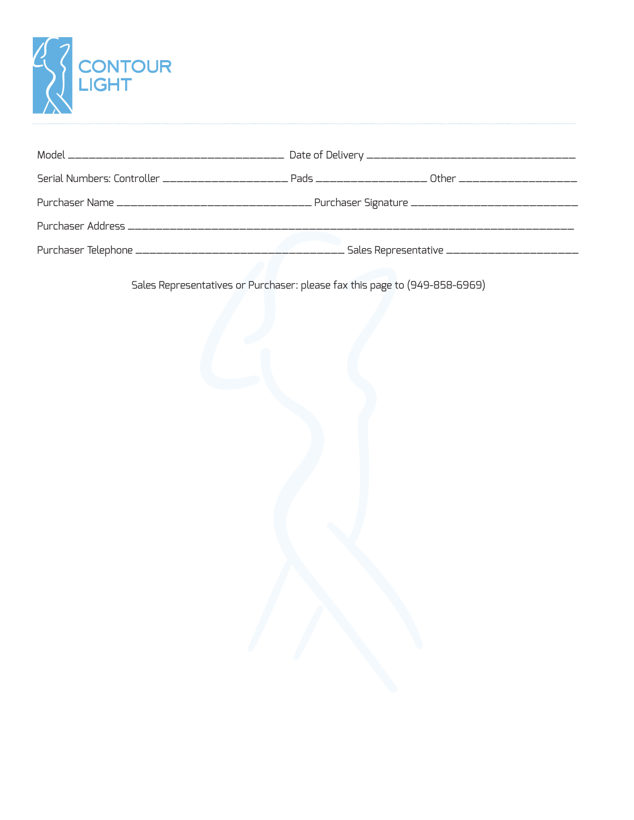

Sales Representatives or Purchaser: please fax this page to (949-858-6969)